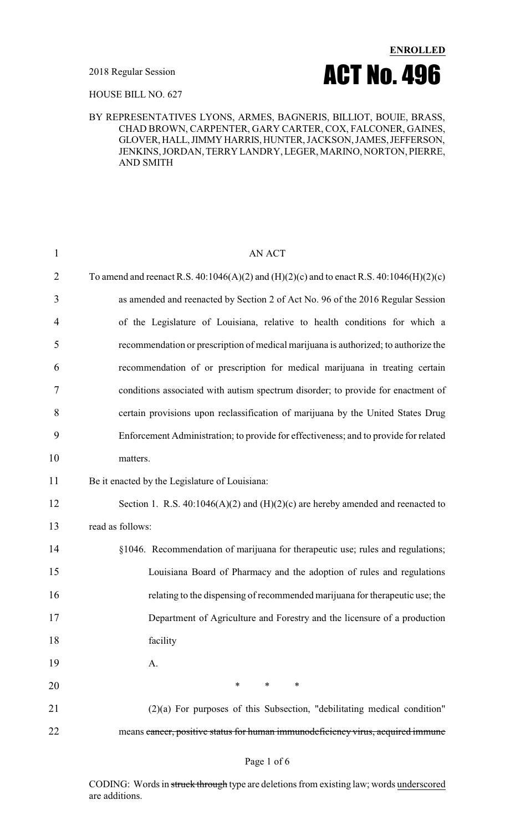

HOUSE BILL NO. 627

#### BY REPRESENTATIVES LYONS, ARMES, BAGNERIS, BILLIOT, BOUIE, BRASS, CHAD BROWN, CARPENTER, GARY CARTER, COX, FALCONER, GAINES, GLOVER,HALL,JIMMYHARRIS,HUNTER, JACKSON, JAMES,JEFFERSON, JENKINS, JORDAN, TERRY LANDRY, LEGER, MARINO, NORTON, PIERRE, AND SMITH

| $\mathbf{1}$   | <b>AN ACT</b>                                                                            |
|----------------|------------------------------------------------------------------------------------------|
| $\overline{2}$ | To amend and reenact R.S. 40:1046(A)(2) and (H)(2)(c) and to enact R.S. 40:1046(H)(2)(c) |
| 3              | as amended and reenacted by Section 2 of Act No. 96 of the 2016 Regular Session          |
| 4              | of the Legislature of Louisiana, relative to health conditions for which a               |
| 5              | recommendation or prescription of medical marijuana is authorized; to authorize the      |
| 6              | recommendation of or prescription for medical marijuana in treating certain              |
| 7              | conditions associated with autism spectrum disorder; to provide for enactment of         |
| 8              | certain provisions upon reclassification of marijuana by the United States Drug          |
| 9              | Enforcement Administration; to provide for effectiveness; and to provide for related     |
| 10             | matters.                                                                                 |
| 11             | Be it enacted by the Legislature of Louisiana:                                           |
| 12             | Section 1. R.S. $40:1046(A)(2)$ and $(H)(2)(c)$ are hereby amended and reenacted to      |
| 13             | read as follows:                                                                         |
| 14             | §1046. Recommendation of marijuana for therapeutic use; rules and regulations;           |
| 15             | Louisiana Board of Pharmacy and the adoption of rules and regulations                    |
| 16             | relating to the dispensing of recommended marijuana for therapeutic use; the             |
| 17             | Department of Agriculture and Forestry and the licensure of a production                 |
| 18             | facility                                                                                 |
| 19             | A.                                                                                       |
| 20             | $*$ and $*$<br>$\ast$<br>$\ast$                                                          |
| 21             | $(2)(a)$ For purposes of this Subsection, "debilitating medical condition"               |
| 22             | means cancer, positive status for human immunodeficiency virus, acquired immune          |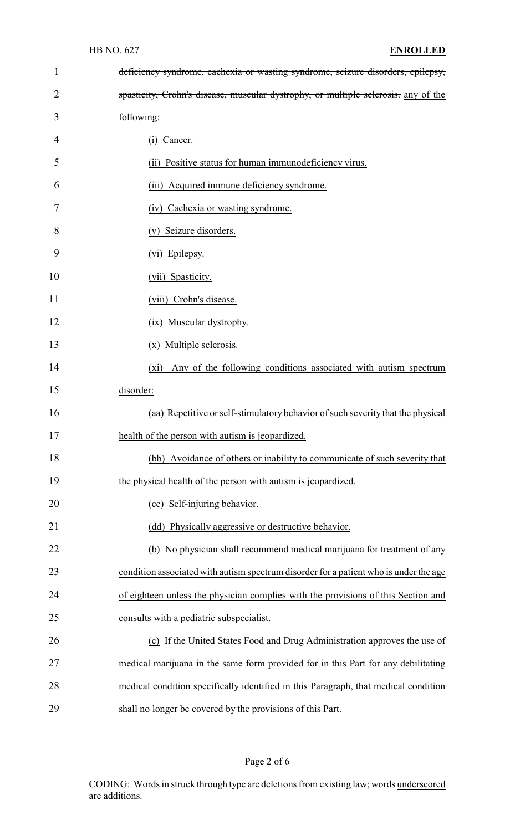| 1  | deficiency syndrome, cachexia or wasting syndrome, seizure disorders, epilepsy,       |
|----|---------------------------------------------------------------------------------------|
| 2  | spasticity, Crohn's disease, muscular dystrophy, or multiple sclerosis. any of the    |
| 3  | following:                                                                            |
| 4  | Cancer.<br>(1)                                                                        |
| 5  | (ii) Positive status for human immunodeficiency virus.                                |
| 6  | (iii) Acquired immune deficiency syndrome.                                            |
| 7  | (iv) Cachexia or wasting syndrome.                                                    |
| 8  | (v) Seizure disorders.                                                                |
| 9  | (vi) Epilepsy.                                                                        |
| 10 | (vii) Spasticity.                                                                     |
| 11 | (viii) Crohn's disease.                                                               |
| 12 | (ix) Muscular dystrophy.                                                              |
| 13 | (x) Multiple sclerosis.                                                               |
| 14 | Any of the following conditions associated with autism spectrum<br>$(x_i)$            |
| 15 | disorder:                                                                             |
| 16 | (aa) Repetitive or self-stimulatory behavior of such severity that the physical       |
| 17 | health of the person with autism is jeopardized.                                      |
| 18 | (bb) Avoidance of others or inability to communicate of such severity that            |
| 19 | the physical health of the person with autism is jeopardized.                         |
| 20 | (cc) Self-injuring behavior.                                                          |
| 21 | (dd) Physically aggressive or destructive behavior.                                   |
| 22 | (b) No physician shall recommend medical marijuana for treatment of any               |
| 23 | condition associated with autism spectrum disorder for a patient who is under the age |
| 24 | of eighteen unless the physician complies with the provisions of this Section and     |
| 25 | consults with a pediatric subspecialist.                                              |
| 26 | (c) If the United States Food and Drug Administration approves the use of             |
| 27 | medical marijuana in the same form provided for in this Part for any debilitating     |
| 28 | medical condition specifically identified in this Paragraph, that medical condition   |
| 29 | shall no longer be covered by the provisions of this Part.                            |

# Page 2 of 6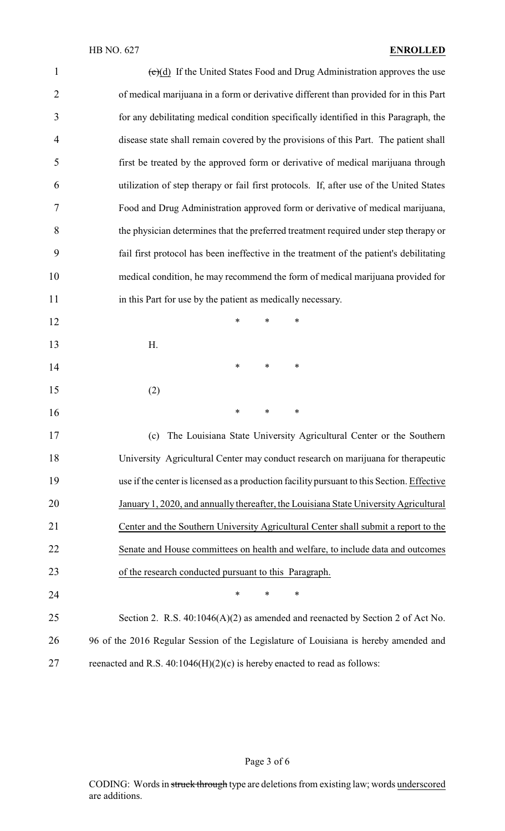| $\mathbf{1}$   | $\overline{(c)(d)}$ If the United States Food and Drug Administration approves the use     |
|----------------|--------------------------------------------------------------------------------------------|
| $\overline{2}$ | of medical marijuana in a form or derivative different than provided for in this Part      |
| 3              | for any debilitating medical condition specifically identified in this Paragraph, the      |
| $\overline{4}$ | disease state shall remain covered by the provisions of this Part. The patient shall       |
| 5              | first be treated by the approved form or derivative of medical marijuana through           |
| 6              | utilization of step therapy or fail first protocols. If, after use of the United States    |
| 7              | Food and Drug Administration approved form or derivative of medical marijuana,             |
| 8              | the physician determines that the preferred treatment required under step therapy or       |
| 9              | fail first protocol has been ineffective in the treatment of the patient's debilitating    |
| 10             | medical condition, he may recommend the form of medical marijuana provided for             |
| 11             | in this Part for use by the patient as medically necessary.                                |
| 12             | *<br>$\ast$<br>*                                                                           |
| 13             | Η.                                                                                         |
| 14             | $\ast$<br>$\ast$<br>∗                                                                      |
| 15             | (2)                                                                                        |
| 16             | $\ast$<br>$\ast$<br>∗                                                                      |
| 17             | (c) The Louisiana State University Agricultural Center or the Southern                     |
| 18             | University Agricultural Center may conduct research on marijuana for therapeutic           |
| 19             | use if the center is licensed as a production facility pursuant to this Section. Effective |
| 20             | January 1, 2020, and annually thereafter, the Louisiana State University Agricultural      |
| 21             | Center and the Southern University Agricultural Center shall submit a report to the        |
| 22             | Senate and House committees on health and welfare, to include data and outcomes            |
| 23             | of the research conducted pursuant to this Paragraph.                                      |
| 24             | *<br>$\ast$<br>∗                                                                           |
| 25             | Section 2. R.S. 40:1046(A)(2) as amended and reenacted by Section 2 of Act No.             |
| 26             | 96 of the 2016 Regular Session of the Legislature of Louisiana is hereby amended and       |
| 27             | reenacted and R.S. $40:1046(H)(2)(c)$ is hereby enacted to read as follows:                |

Page 3 of 6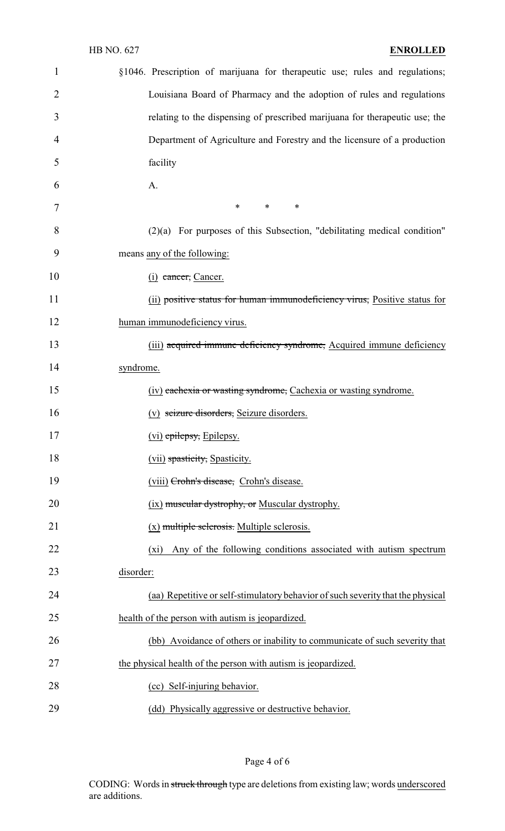| $\mathbf{1}$   | §1046. Prescription of marijuana for therapeutic use; rules and regulations;    |
|----------------|---------------------------------------------------------------------------------|
| $\overline{2}$ | Louisiana Board of Pharmacy and the adoption of rules and regulations           |
| 3              | relating to the dispensing of prescribed marijuana for therapeutic use; the     |
| 4              | Department of Agriculture and Forestry and the licensure of a production        |
| 5              | facility                                                                        |
| 6              | A.                                                                              |
| 7              | $\ast$<br>$\ast$<br>$\ast$                                                      |
| 8              | $(2)(a)$ For purposes of this Subsection, "debilitating medical condition"      |
| 9              | means any of the following:                                                     |
| 10             | $(i)$ cancer, Cancer.                                                           |
| 11             | (ii) positive status for human immunodeficiency virus, Positive status for      |
| 12             | human immunodeficiency virus.                                                   |
| 13             | (iii) acquired immune deficiency syndrome, Acquired immune deficiency           |
| 14             | syndrome.                                                                       |
| 15             | (iv) eachexia or wasting syndrome, Cachexia or wasting syndrome.                |
| 16             | (v) seizure disorders, Seizure disorders.                                       |
| 17             | (vi) epilepsy, Epilepsy.                                                        |
| 18             | (vii) spasticity, Spasticity.                                                   |
| 19             | (viii) Crohn's disease, Crohn's disease.                                        |
| 20             | (ix) muscular dystrophy, or Muscular dystrophy.                                 |
| 21             | $(x)$ multiple sclerosis. Multiple sclerosis.                                   |
| 22             | Any of the following conditions associated with autism spectrum<br>$(x_i)$      |
| 23             | disorder:                                                                       |
| 24             | (aa) Repetitive or self-stimulatory behavior of such severity that the physical |
| 25             | health of the person with autism is jeopardized.                                |
| 26             | (bb) Avoidance of others or inability to communicate of such severity that      |
| 27             | the physical health of the person with autism is jeopardized.                   |
| 28             | (cc) Self-injuring behavior.                                                    |
| 29             | (dd) Physically aggressive or destructive behavior.                             |

Page 4 of 6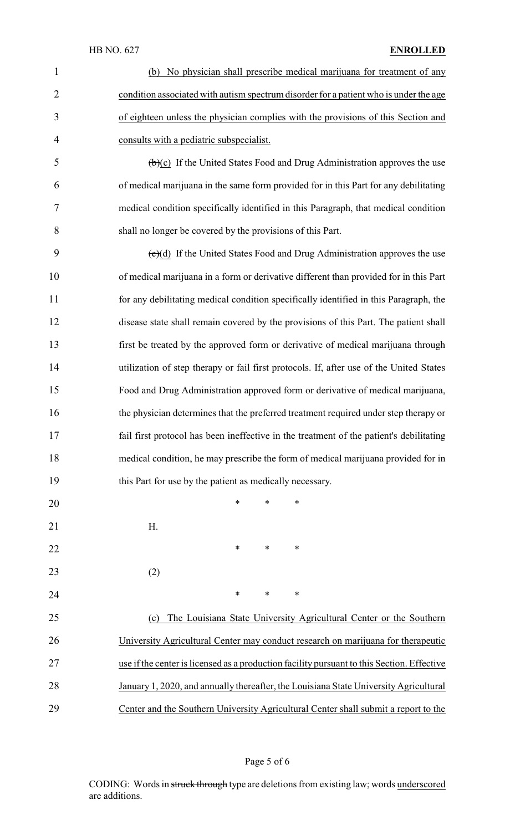#### HB NO. 627 **ENROLLED**

| 1              | (b) No physician shall prescribe medical marijuana for treatment of any                    |
|----------------|--------------------------------------------------------------------------------------------|
| $\overline{2}$ | condition associated with autism spectrum disorder for a patient who is under the age      |
| 3              | of eighteen unless the physician complies with the provisions of this Section and          |
| $\overline{4}$ | consults with a pediatric subspecialist.                                                   |
| 5              | $(\theta)(c)$ If the United States Food and Drug Administration approves the use           |
| 6              | of medical marijuana in the same form provided for in this Part for any debilitating       |
| 7              | medical condition specifically identified in this Paragraph, that medical condition        |
| 8              | shall no longer be covered by the provisions of this Part.                                 |
| 9              | $(e)(d)$ If the United States Food and Drug Administration approves the use                |
| 10             | of medical marijuana in a form or derivative different than provided for in this Part      |
| 11             | for any debilitating medical condition specifically identified in this Paragraph, the      |
| 12             | disease state shall remain covered by the provisions of this Part. The patient shall       |
| 13             | first be treated by the approved form or derivative of medical marijuana through           |
| 14             | utilization of step therapy or fail first protocols. If, after use of the United States    |
| 15             | Food and Drug Administration approved form or derivative of medical marijuana,             |
| 16             | the physician determines that the preferred treatment required under step therapy or       |
| 17             | fail first protocol has been ineffective in the treatment of the patient's debilitating    |
| 18             | medical condition, he may prescribe the form of medical marijuana provided for in          |
| 19             | this Part for use by the patient as medically necessary.                                   |
| 20             | *<br>$\ast$<br>*                                                                           |
| 21             | Η.                                                                                         |
| 22             | ∗<br>$\ast$<br>∗                                                                           |
| 23             | (2)                                                                                        |
| 24             | $\ast$<br>$\ast$<br>∗                                                                      |
| 25             | The Louisiana State University Agricultural Center or the Southern<br>(c)                  |
| 26             | University Agricultural Center may conduct research on marijuana for therapeutic           |
| 27             | use if the center is licensed as a production facility pursuant to this Section. Effective |
| 28             | January 1, 2020, and annually thereafter, the Louisiana State University Agricultural      |
| 29             | Center and the Southern University Agricultural Center shall submit a report to the        |

# Page 5 of 6